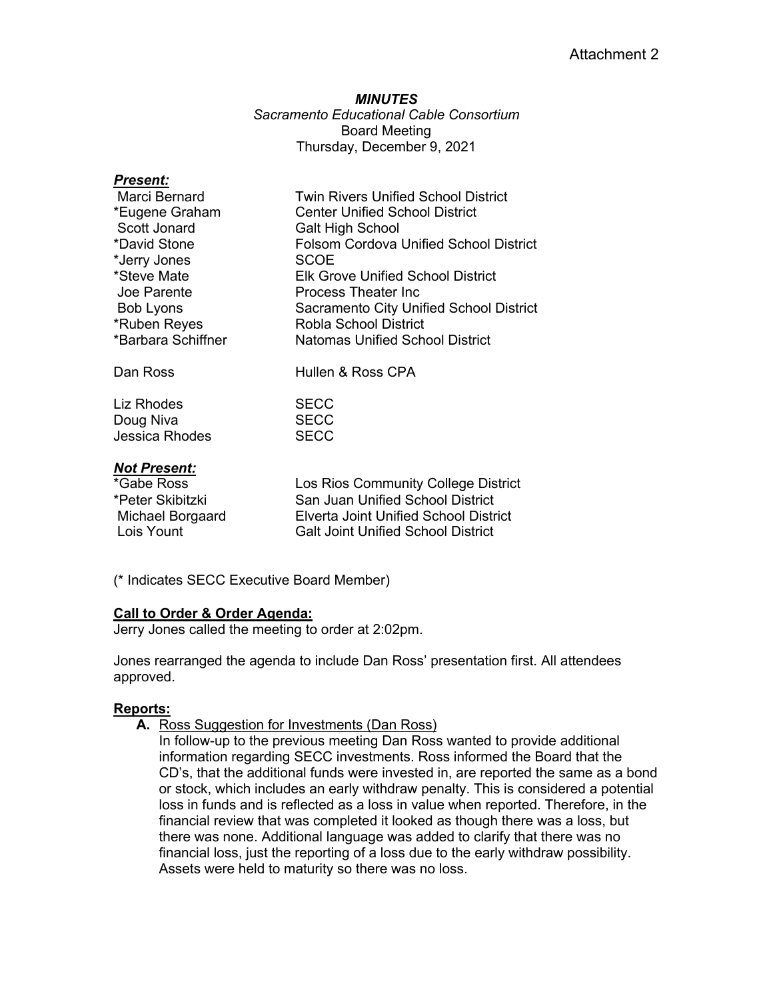#### *MINUTES*

*Sacramento Educational Cable Consortium* Board Meeting Thursday, December 9, 2021

### *Present:*

| Marci Bernard      | <b>Twin Rivers Unified School District</b> |
|--------------------|--------------------------------------------|
| *Eugene Graham     | <b>Center Unified School District</b>      |
| Scott Jonard       | <b>Galt High School</b>                    |
| *David Stone       | Folsom Cordova Unified School District     |
| *Jerry Jones       | <b>SCOE</b>                                |
| *Steve Mate        | <b>Elk Grove Unified School District</b>   |
| Joe Parente        | Process Theater Inc.                       |
| Bob Lyons          | Sacramento City Unified School District    |
| *Ruben Reyes       | <b>Robla School District</b>               |
| *Barbara Schiffner | <b>Natomas Unified School District</b>     |
| Dan Ross           | Hullen & Ross CPA                          |

Liz Rhodes SECC Doug Niva **SECC** Jessica Rhodes SECC

### *Not Present:*

| *Gabe Ross       | Los Rios Community College District          |
|------------------|----------------------------------------------|
| *Peter Skibitzki | San Juan Unified School District             |
| Michael Borgaard | <b>Elverta Joint Unified School District</b> |
| Lois Yount       | <b>Galt Joint Unified School District</b>    |

(\* Indicates SECC Executive Board Member)

### **Call to Order & Order Agenda:**

Jerry Jones called the meeting to order at 2:02pm.

Jones rearranged the agenda to include Dan Ross' presentation first. All attendees approved.

### **Reports:**

- **A.** Ross Suggestion for Investments (Dan Ross)
	- In follow-up to the previous meeting Dan Ross wanted to provide additional information regarding SECC investments. Ross informed the Board that the CD's, that the additional funds were invested in, are reported the same as a bond or stock, which includes an early withdraw penalty. This is considered a potential loss in funds and is reflected as a loss in value when reported. Therefore, in the financial review that was completed it looked as though there was a loss, but there was none. Additional language was added to clarify that there was no financial loss, just the reporting of a loss due to the early withdraw possibility. Assets were held to maturity so there was no loss.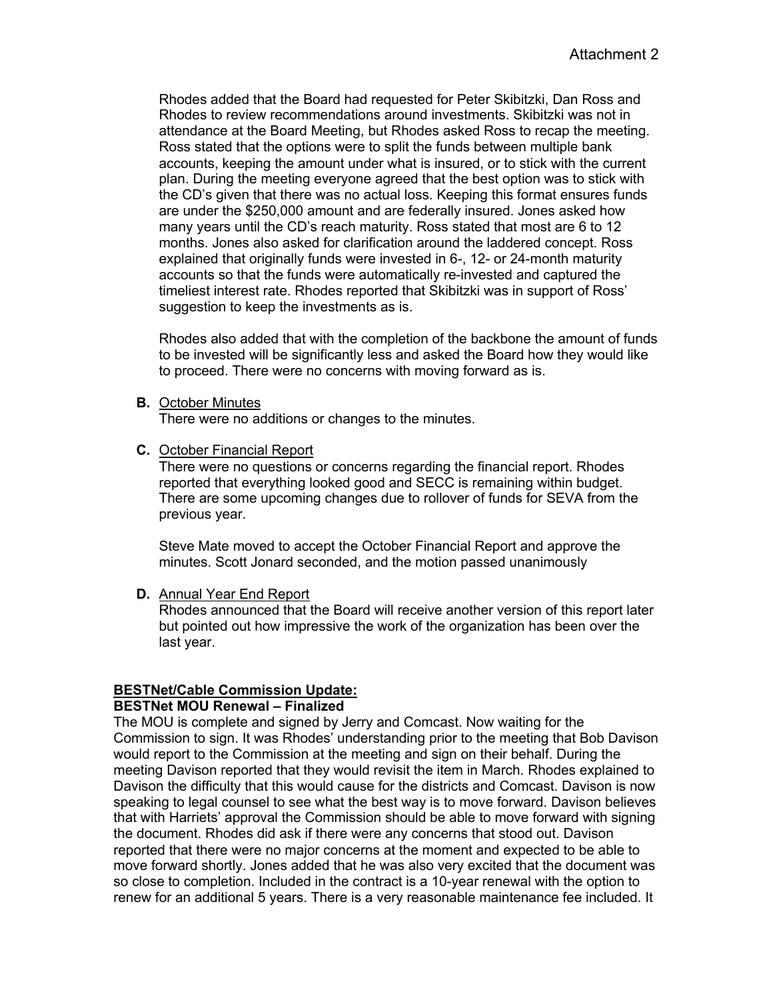Rhodes added that the Board had requested for Peter Skibitzki, Dan Ross and Rhodes to review recommendations around investments. Skibitzki was not in attendance at the Board Meeting, but Rhodes asked Ross to recap the meeting. Ross stated that the options were to split the funds between multiple bank accounts, keeping the amount under what is insured, or to stick with the current plan. During the meeting everyone agreed that the best option was to stick with the CD's given that there was no actual loss. Keeping this format ensures funds are under the \$250,000 amount and are federally insured. Jones asked how many years until the CD's reach maturity. Ross stated that most are 6 to 12 months. Jones also asked for clarification around the laddered concept. Ross explained that originally funds were invested in 6-, 12- or 24-month maturity accounts so that the funds were automatically re-invested and captured the timeliest interest rate. Rhodes reported that Skibitzki was in support of Ross' suggestion to keep the investments as is.

Rhodes also added that with the completion of the backbone the amount of funds to be invested will be significantly less and asked the Board how they would like to proceed. There were no concerns with moving forward as is.

**B.** October Minutes

There were no additions or changes to the minutes.

**C.** October Financial Report

There were no questions or concerns regarding the financial report. Rhodes reported that everything looked good and SECC is remaining within budget. There are some upcoming changes due to rollover of funds for SEVA from the previous year.

Steve Mate moved to accept the October Financial Report and approve the minutes. Scott Jonard seconded, and the motion passed unanimously

**D.** Annual Year End Report

Rhodes announced that the Board will receive another version of this report later but pointed out how impressive the work of the organization has been over the last year.

### **BESTNet/Cable Commission Update:**

### **BESTNet MOU Renewal – Finalized**

The MOU is complete and signed by Jerry and Comcast. Now waiting for the Commission to sign. It was Rhodes' understanding prior to the meeting that Bob Davison would report to the Commission at the meeting and sign on their behalf. During the meeting Davison reported that they would revisit the item in March. Rhodes explained to Davison the difficulty that this would cause for the districts and Comcast. Davison is now speaking to legal counsel to see what the best way is to move forward. Davison believes that with Harriets' approval the Commission should be able to move forward with signing the document. Rhodes did ask if there were any concerns that stood out. Davison reported that there were no major concerns at the moment and expected to be able to move forward shortly. Jones added that he was also very excited that the document was so close to completion. Included in the contract is a 10-year renewal with the option to renew for an additional 5 years. There is a very reasonable maintenance fee included. It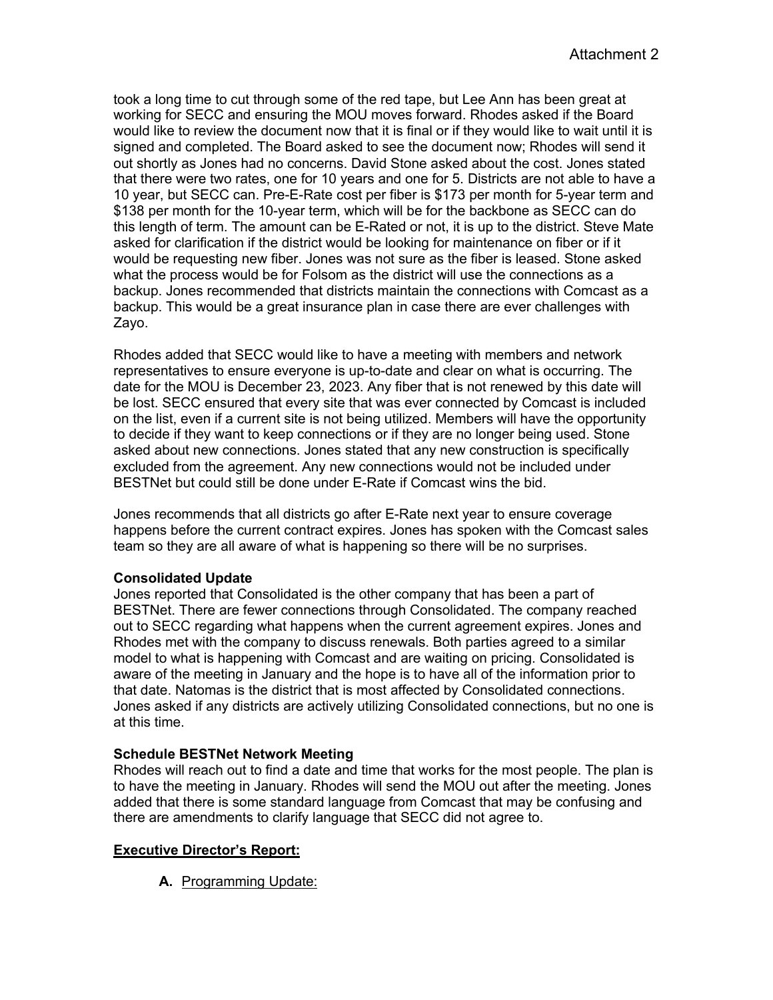took a long time to cut through some of the red tape, but Lee Ann has been great at working for SECC and ensuring the MOU moves forward. Rhodes asked if the Board would like to review the document now that it is final or if they would like to wait until it is signed and completed. The Board asked to see the document now; Rhodes will send it out shortly as Jones had no concerns. David Stone asked about the cost. Jones stated that there were two rates, one for 10 years and one for 5. Districts are not able to have a 10 year, but SECC can. Pre-E-Rate cost per fiber is \$173 per month for 5-year term and \$138 per month for the 10-year term, which will be for the backbone as SECC can do this length of term. The amount can be E-Rated or not, it is up to the district. Steve Mate asked for clarification if the district would be looking for maintenance on fiber or if it would be requesting new fiber. Jones was not sure as the fiber is leased. Stone asked what the process would be for Folsom as the district will use the connections as a backup. Jones recommended that districts maintain the connections with Comcast as a backup. This would be a great insurance plan in case there are ever challenges with Zayo.

Rhodes added that SECC would like to have a meeting with members and network representatives to ensure everyone is up-to-date and clear on what is occurring. The date for the MOU is December 23, 2023. Any fiber that is not renewed by this date will be lost. SECC ensured that every site that was ever connected by Comcast is included on the list, even if a current site is not being utilized. Members will have the opportunity to decide if they want to keep connections or if they are no longer being used. Stone asked about new connections. Jones stated that any new construction is specifically excluded from the agreement. Any new connections would not be included under BESTNet but could still be done under E-Rate if Comcast wins the bid.

Jones recommends that all districts go after E-Rate next year to ensure coverage happens before the current contract expires. Jones has spoken with the Comcast sales team so they are all aware of what is happening so there will be no surprises.

### **Consolidated Update**

Jones reported that Consolidated is the other company that has been a part of BESTNet. There are fewer connections through Consolidated. The company reached out to SECC regarding what happens when the current agreement expires. Jones and Rhodes met with the company to discuss renewals. Both parties agreed to a similar model to what is happening with Comcast and are waiting on pricing. Consolidated is aware of the meeting in January and the hope is to have all of the information prior to that date. Natomas is the district that is most affected by Consolidated connections. Jones asked if any districts are actively utilizing Consolidated connections, but no one is at this time.

# **Schedule BESTNet Network Meeting**

Rhodes will reach out to find a date and time that works for the most people. The plan is to have the meeting in January. Rhodes will send the MOU out after the meeting. Jones added that there is some standard language from Comcast that may be confusing and there are amendments to clarify language that SECC did not agree to.

# **Executive Director's Report:**

**A.** Programming Update: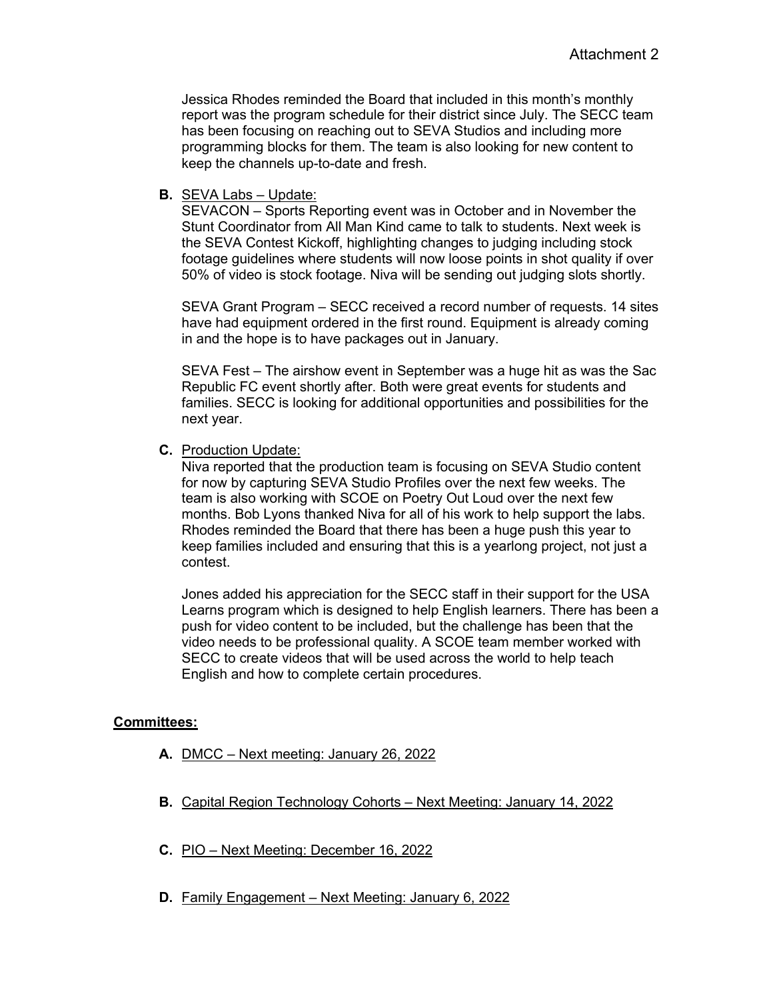Jessica Rhodes reminded the Board that included in this month's monthly report was the program schedule for their district since July. The SECC team has been focusing on reaching out to SEVA Studios and including more programming blocks for them. The team is also looking for new content to keep the channels up-to-date and fresh.

## **B.** SEVA Labs – Update:

SEVACON – Sports Reporting event was in October and in November the Stunt Coordinator from All Man Kind came to talk to students. Next week is the SEVA Contest Kickoff, highlighting changes to judging including stock footage guidelines where students will now loose points in shot quality if over 50% of video is stock footage. Niva will be sending out judging slots shortly.

SEVA Grant Program – SECC received a record number of requests. 14 sites have had equipment ordered in the first round. Equipment is already coming in and the hope is to have packages out in January.

SEVA Fest – The airshow event in September was a huge hit as was the Sac Republic FC event shortly after. Both were great events for students and families. SECC is looking for additional opportunities and possibilities for the next year.

### **C.** Production Update:

Niva reported that the production team is focusing on SEVA Studio content for now by capturing SEVA Studio Profiles over the next few weeks. The team is also working with SCOE on Poetry Out Loud over the next few months. Bob Lyons thanked Niva for all of his work to help support the labs. Rhodes reminded the Board that there has been a huge push this year to keep families included and ensuring that this is a yearlong project, not just a contest.

Jones added his appreciation for the SECC staff in their support for the USA Learns program which is designed to help English learners. There has been a push for video content to be included, but the challenge has been that the video needs to be professional quality. A SCOE team member worked with SECC to create videos that will be used across the world to help teach English and how to complete certain procedures.

### **Committees:**

- **A.** DMCC Next meeting: January 26, 2022
- **B.** Capital Region Technology Cohorts Next Meeting: January 14, 2022
- **C.** PIO Next Meeting: December 16, 2022
- **D.** Family Engagement Next Meeting: January 6, 2022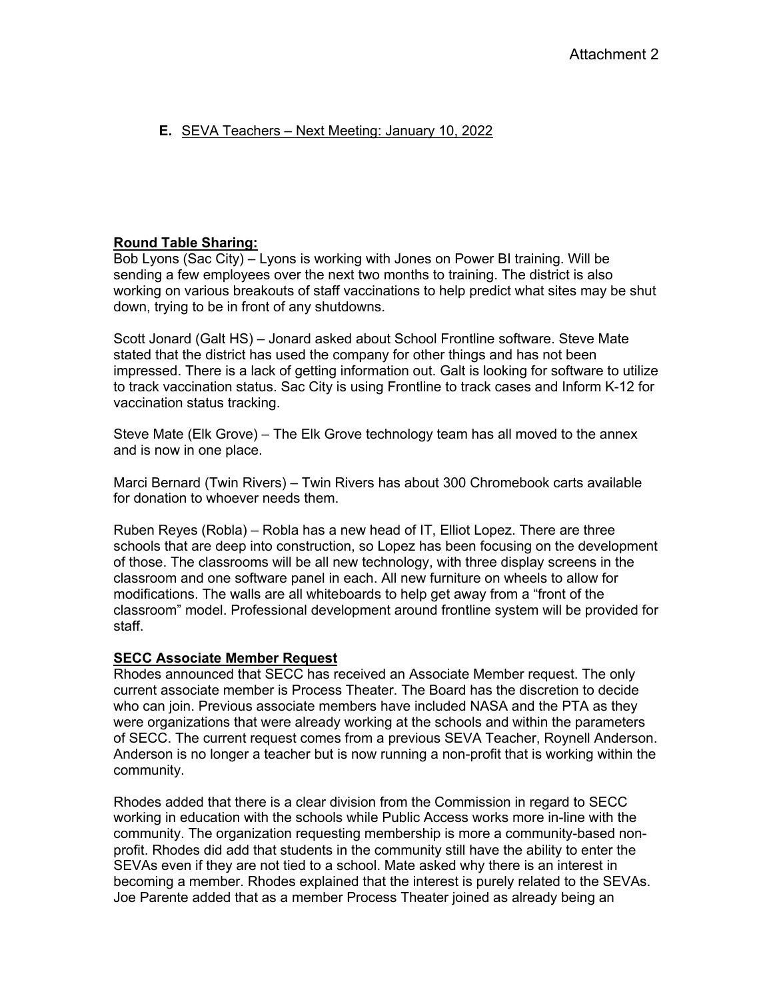# **E.** SEVA Teachers – Next Meeting: January 10, 2022

### **Round Table Sharing:**

Bob Lyons (Sac City) – Lyons is working with Jones on Power BI training. Will be sending a few employees over the next two months to training. The district is also working on various breakouts of staff vaccinations to help predict what sites may be shut down, trying to be in front of any shutdowns.

Scott Jonard (Galt HS) – Jonard asked about School Frontline software. Steve Mate stated that the district has used the company for other things and has not been impressed. There is a lack of getting information out. Galt is looking for software to utilize to track vaccination status. Sac City is using Frontline to track cases and Inform K-12 for vaccination status tracking.

Steve Mate (Elk Grove) – The Elk Grove technology team has all moved to the annex and is now in one place.

Marci Bernard (Twin Rivers) – Twin Rivers has about 300 Chromebook carts available for donation to whoever needs them.

Ruben Reyes (Robla) – Robla has a new head of IT, Elliot Lopez. There are three schools that are deep into construction, so Lopez has been focusing on the development of those. The classrooms will be all new technology, with three display screens in the classroom and one software panel in each. All new furniture on wheels to allow for modifications. The walls are all whiteboards to help get away from a "front of the classroom" model. Professional development around frontline system will be provided for staff.

### **SECC Associate Member Request**

Rhodes announced that SECC has received an Associate Member request. The only current associate member is Process Theater. The Board has the discretion to decide who can join. Previous associate members have included NASA and the PTA as they were organizations that were already working at the schools and within the parameters of SECC. The current request comes from a previous SEVA Teacher, Roynell Anderson. Anderson is no longer a teacher but is now running a non-profit that is working within the community.

Rhodes added that there is a clear division from the Commission in regard to SECC working in education with the schools while Public Access works more in-line with the community. The organization requesting membership is more a community-based nonprofit. Rhodes did add that students in the community still have the ability to enter the SEVAs even if they are not tied to a school. Mate asked why there is an interest in becoming a member. Rhodes explained that the interest is purely related to the SEVAs. Joe Parente added that as a member Process Theater joined as already being an